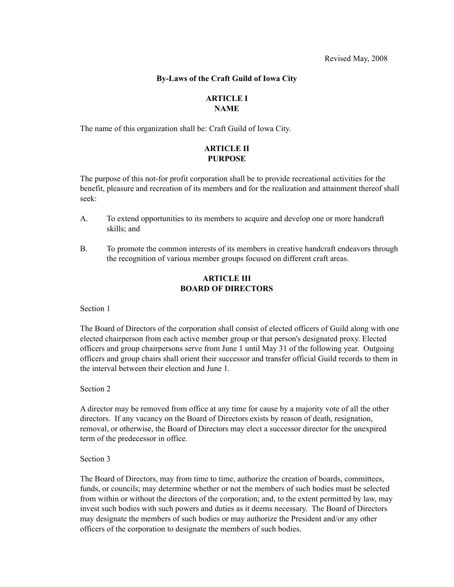## **By-Laws of the Craft Guild of Iowa City**

### **ARTICLE I NAME**

The name of this organization shall be: Craft Guild of Iowa City.

## **ARTICLE II PURPOSE**

The purpose of this not-for profit corporation shall be to provide recreational activities for the benefit, pleasure and recreation of its members and for the realization and attainment thereof shall seek:

- A. To extend opportunities to its members to acquire and develop one or more handcraft skills; and
- B. To promote the common interests of its members in creative handcraft endeavors through the recognition of various member groups focused on different craft areas.

## **ARTICLE III BOARD OF DIRECTORS**

Section 1

The Board of Directors of the corporation shall consist of elected officers of Guild along with one elected chairperson from each active member group or that person's designated proxy. Elected officers and group chairpersons serve from June 1 until May 31 of the following year. Outgoing officers and group chairs shall orient their successor and transfer official Guild records to them in the interval between their election and June 1.

Section 2

A director may be removed from office at any time for cause by a majority vote of all the other directors. If any vacancy on the Board of Directors exists by reason of death, resignation, removal, or otherwise, the Board of Directors may elect a successor director for the unexpired term of the predecessor in office.

Section 3

The Board of Directors, may from time to time, authorize the creation of boards, committees, funds, or councils; may determine whether or not the members of such bodies must be selected from within or without the directors of the corporation; and, to the extent permitted by law, may invest such bodies with such powers and duties as it deems necessary. The Board of Directors may designate the members of such bodies or may authorize the President and/or any other officers of the corporation to designate the members of such bodies.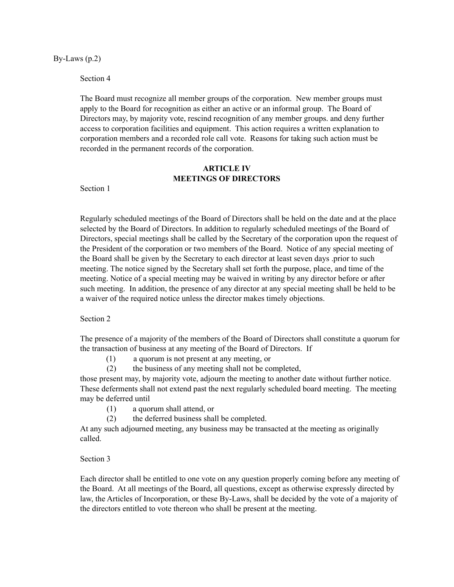By-Laws (p.2)

Section 4

The Board must recognize all member groups of the corporation. New member groups must apply to the Board for recognition as either an active or an informal group. The Board of Directors may, by majority vote, rescind recognition of any member groups. and deny further access to corporation facilities and equipment. This action requires a written explanation to corporation members and a recorded role call vote. Reasons for taking such action must be recorded in the permanent records of the corporation.

## **ARTICLE IV MEETINGS OF DIRECTORS**

Section 1

Regularly scheduled meetings of the Board of Directors shall be held on the date and at the place selected by the Board of Directors. In addition to regularly scheduled meetings of the Board of Directors, special meetings shall be called by the Secretary of the corporation upon the request of the President of the corporation or two members of the Board. Notice of any special meeting of the Board shall be given by the Secretary to each director at least seven days .prior to such meeting. The notice signed by the Secretary shall set forth the purpose, place, and time of the meeting. Notice of a special meeting may be waived in writing by any director before or after such meeting. In addition, the presence of any director at any special meeting shall be held to be a waiver of the required notice unless the director makes timely objections.

Section 2

The presence of a majority of the members of the Board of Directors shall constitute a quorum for the transaction of business at any meeting of the Board of Directors. If

(1) a quorum is not present at any meeting, or

(2) the business of any meeting shall not be completed,

those present may, by majority vote, adjourn the meeting to another date without further notice. These deferments shall not extend past the next regularly scheduled board meeting. The meeting may be deferred until

- (1) a quorum shall attend, or
- (2) the deferred business shall be completed.

At any such adjourned meeting, any business may be transacted at the meeting as originally called.

Section 3

Each director shall be entitled to one vote on any question properly coming before any meeting of the Board. At all meetings of the Board, all questions, except as otherwise expressly directed by law, the Articles of Incorporation, or these By-Laws, shall be decided by the vote of a majority of the directors entitled to vote thereon who shall be present at the meeting.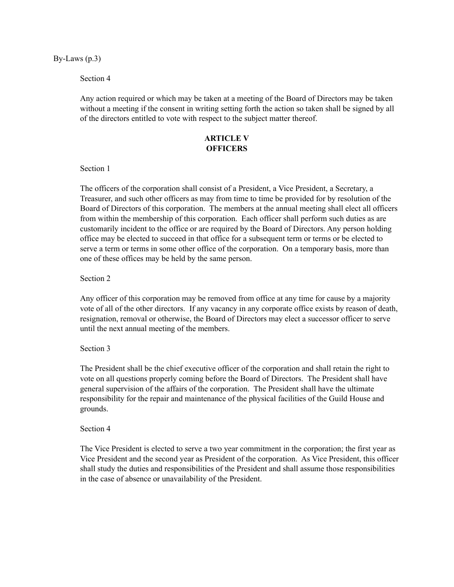By-Laws (p.3)

### Section 4

Any action required or which may be taken at a meeting of the Board of Directors may be taken without a meeting if the consent in writing setting forth the action so taken shall be signed by all of the directors entitled to vote with respect to the subject matter thereof.

# **ARTICLE V OFFICERS**

### Section 1

The officers of the corporation shall consist of a President, a Vice President, a Secretary, a Treasurer, and such other officers as may from time to time be provided for by resolution of the Board of Directors of this corporation. The members at the annual meeting shall elect all officers from within the membership of this corporation. Each officer shall perform such duties as are customarily incident to the office or are required by the Board of Directors. Any person holding office may be elected to succeed in that office for a subsequent term or terms or be elected to serve a term or terms in some other office of the corporation. On a temporary basis, more than one of these offices may be held by the same person.

### Section 2

Any officer of this corporation may be removed from office at any time for cause by a majority vote of all of the other directors. If any vacancy in any corporate office exists by reason of death, resignation, removal or otherwise, the Board of Directors may elect a successor officer to serve until the next annual meeting of the members.

## Section 3

The President shall be the chief executive officer of the corporation and shall retain the right to vote on all questions properly coming before the Board of Directors. The President shall have general supervision of the affairs of the corporation. The President shall have the ultimate responsibility for the repair and maintenance of the physical facilities of the Guild House and grounds.

### Section 4

The Vice President is elected to serve a two year commitment in the corporation; the first year as Vice President and the second year as President of the corporation. As Vice President, this officer shall study the duties and responsibilities of the President and shall assume those responsibilities in the case of absence or unavailability of the President.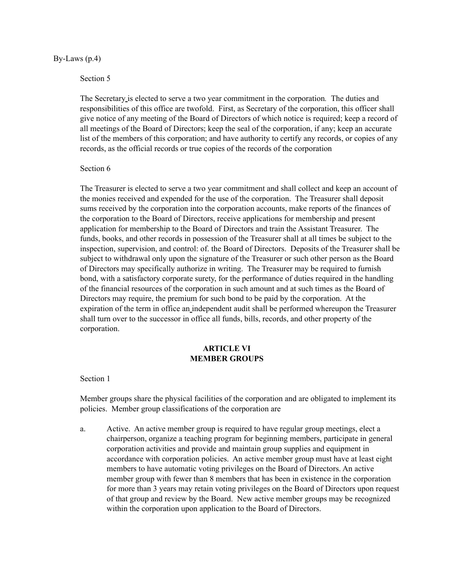#### By-Laws (p.4)

### Section 5

The Secretary is elected to serve a two year commitment in the corporation*.* The duties and responsibilities of this office are twofold. First, as Secretary of the corporation, this officer shall give notice of any meeting of the Board of Directors of which notice is required; keep a record of all meetings of the Board of Directors; keep the seal of the corporation, if any; keep an accurate list of the members of this corporation; and have authority to certify any records, or copies of any records, as the official records or true copies of the records of the corporation

### Section 6

The Treasurer is elected to serve a two year commitment and shall collect and keep an account of the monies received and expended for the use of the corporation. The Treasurer shall deposit sums received by the corporation into the corporation accounts, make reports of the finances of the corporation to the Board of Directors, receive applications for membership and present application for membership to the Board of Directors and train the Assistant Treasurer. The funds, books, and other records in possession of the Treasurer shall at all times be subject to the inspection, supervision, and control: of. the Board of Directors. Deposits of the Treasurer shall be subject to withdrawal only upon the signature of the Treasurer or such other person as the Board of Directors may specifically authorize in writing. The Treasurer may be required to furnish bond, with a satisfactory corporate surety, for the performance of duties required in the handling of the financial resources of the corporation in such amount and at such times as the Board of Directors may require, the premium for such bond to be paid by the corporation. At the expiration of the term in office an independent audit shall be performed whereupon the Treasurer shall turn over to the successor in office all funds, bills, records, and other property of the corporation.

## **ARTICLE VI MEMBER GROUPS**

### Section 1

Member groups share the physical facilities of the corporation and are obligated to implement its policies. Member group classifications of the corporation are

a. Active. An active member group is required to have regular group meetings, elect a chairperson, organize a teaching program for beginning members, participate in general corporation activities and provide and maintain group supplies and equipment in accordance with corporation policies. An active member group must have at least eight members to have automatic voting privileges on the Board of Directors. An active member group with fewer than 8 members that has been in existence in the corporation for more than 3 years may retain voting privileges on the Board of Directors upon request of that group and review by the Board. New active member groups may be recognized within the corporation upon application to the Board of Directors.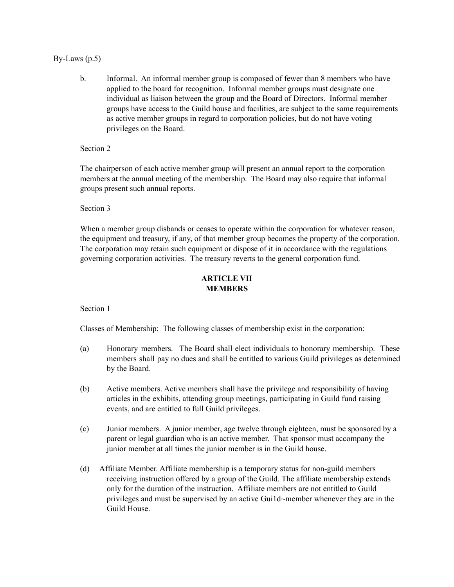## By-Laws  $(p.5)$

b. Informal. An informal member group is composed of fewer than 8 members who have applied to the board for recognition. Informal member groups must designate one individual as liaison between the group and the Board of Directors. Informal member groups have access to the Guild house and facilities, are subject to the same requirements as active member groups in regard to corporation policies, but do not have voting privileges on the Board.

Section 2

The chairperson of each active member group will present an annual report to the corporation members at the annual meeting of the membership. The Board may also require that informal groups present such annual reports.

Section 3

When a member group disbands or ceases to operate within the corporation for whatever reason, the equipment and treasury, if any, of that member group becomes the property of the corporation. The corporation may retain such equipment or dispose of it in accordance with the regulations governing corporation activities. The treasury reverts to the general corporation fund.

## **ARTICLE VII MEMBERS**

Section 1

Classes of Membership: The following classes of membership exist in the corporation:

- (a) Honorary members. The Board shall elect individuals to honorary membership. These members shall pay no dues and shall be entitled to various Guild privileges as determined by the Board.
- (b) Active members. Active members shall have the privilege and responsibility of having articles in the exhibits, attending group meetings, participating in Guild fund raising events, and are entitled to full Guild privileges.
- (c) Junior members. A junior member, age twelve through eighteen, must be sponsored by a parent or legal guardian who is an active member. That sponsor must accompany the junior member at all times the junior member is in the Guild house.
- (d) Affiliate Member. Affiliate membership is a temporary status for non-guild members receiving instruction offered by a group of the Guild. The affiliate membership extends only for the duration of the instruction. Affiliate members are not entitled to Guild privileges and must be supervised by an active Gui1d~member whenever they are in the Guild House.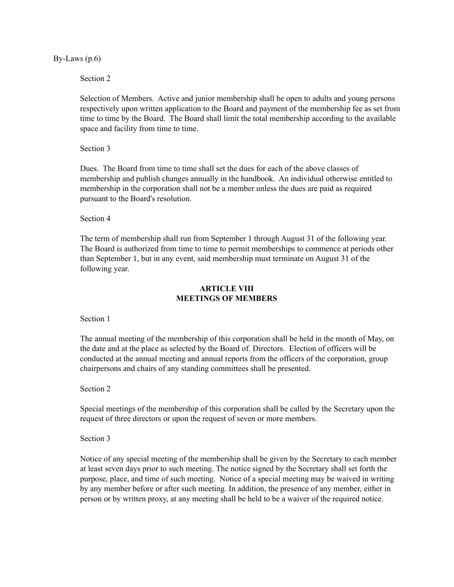By-Laws  $(p.6)$ 

Section 2

Selection of Members. Active and junior membership shall be open to adults and young persons respectively upon written application to the Board and payment of the membership fee as set from time to time by the Board. The Board shall limit the total membership according to the available space and facility from time to time.

Section 3

Dues. The Board from time to time shall set the dues for each of the above classes of membership and publish changes annually in the handbook. An individual otherwise entitled to membership in the corporation shall not be a member unless the dues are paid as required pursuant to the Board's resolution.

Section 4

The term of membership shall run from September 1 through August 31 of the following year. The Board is authorized from time to time to permit memberships to commence at periods other than September 1, but in any event, said membership must terminate on August 31 of the following year.

## **ARTICLE VIII MEETINGS OF MEMBERS**

Section 1

The annual meeting of the membership of this corporation shall be held in the month of May, on the date and at the place as selected by the Board of. Directors. Election of officers will be conducted at the annual meeting and annual reports from the officers of the corporation, group chairpersons and chairs of any standing committees shall be presented.

Section 2

Special meetings of the membership of this corporation shall be called by the Secretary upon the request of three directors or upon the request of seven or more members.

Section 3

Notice of any special meeting of the membership shall be given by the Secretary to each member at least seven days prior to such meeting. The notice signed by the Secretary shall set forth the purpose, place, and time of such meeting. Notice of a special meeting may be waived in writing by any member before or after such meeting. In addition, the presence of any member, either in person or by written proxy, at any meeting shall be held to be a waiver of the required notice.